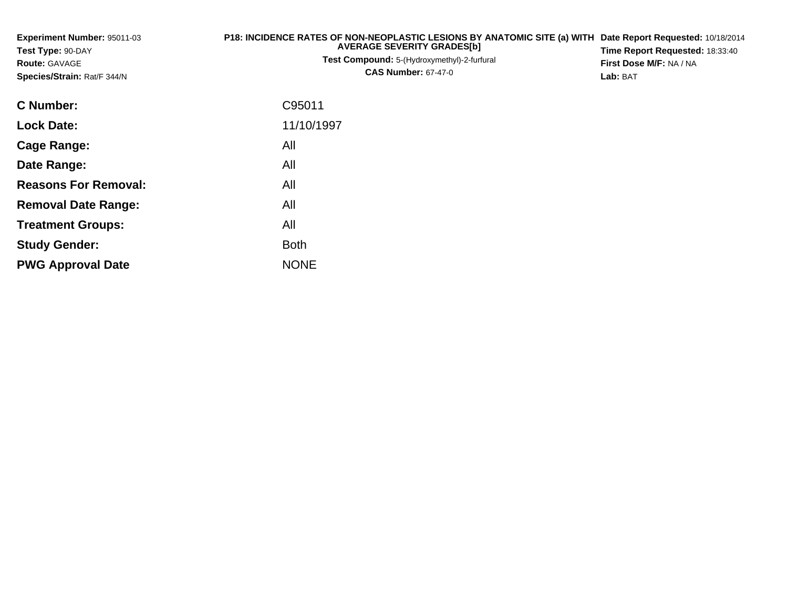| Experiment Number: 95011-03<br>Test Type: 90-DAY<br><b>Route: GAVAGE</b><br>Species/Strain: Rat/F 344/N | P18: INCIDENCE RATES OF NON-NEOPLASTIC LESIONS BY ANATOMIC SITE (a) WITH Date Report Requested: 10/18/2014<br><b>AVERAGE SEVERITY GRADES[b]</b><br>Test Compound: 5-(Hydroxymethyl)-2-furfural<br><b>CAS Number: 67-47-0</b> |  |  |  |  |  |
|---------------------------------------------------------------------------------------------------------|------------------------------------------------------------------------------------------------------------------------------------------------------------------------------------------------------------------------------|--|--|--|--|--|
| <b>C</b> Number:                                                                                        | C95011                                                                                                                                                                                                                       |  |  |  |  |  |
| <b>Lock Date:</b>                                                                                       | 11/10/1997                                                                                                                                                                                                                   |  |  |  |  |  |
| <b>Cage Range:</b>                                                                                      | All                                                                                                                                                                                                                          |  |  |  |  |  |
| Date Range:                                                                                             | All                                                                                                                                                                                                                          |  |  |  |  |  |
| <b>Reasons For Removal:</b>                                                                             | All                                                                                                                                                                                                                          |  |  |  |  |  |
| <b>Removal Date Range:</b>                                                                              | All                                                                                                                                                                                                                          |  |  |  |  |  |
| <b>Treatment Groups:</b>                                                                                | All                                                                                                                                                                                                                          |  |  |  |  |  |
| <b>Study Gender:</b>                                                                                    | <b>Both</b>                                                                                                                                                                                                                  |  |  |  |  |  |

e NONE

**PWG Approval Date**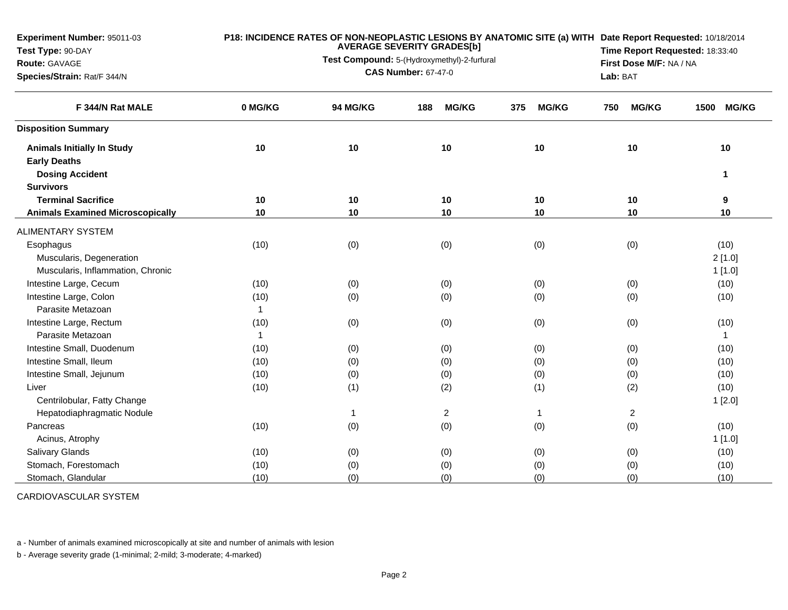**Experiment Number:** 95011-03**Test Type:** 90-DAY**Route:** GAVAGE **Species/Strain:** Rat/F 344/N**P18: INCIDENCE RATES OF NON-NEOPLASTIC LESIONS BY ANATOMIC SITE (a) WITHDate Report Requested:** 10/18/2014**AVERAGE SEVERITY GRADES[b]Test Compound:** 5-(Hydroxymethyl)-2-furfural **CAS Number:** 67-47-0**Time Report Requested:** 18:33:40**First Dose M/F:** NA / NA**Lab:** BAT**F 344/N Rat MALE 0 MG/KG 94 MG/KG 188 MG/KG 375 MG/KG 750 MG/KG 1500 MG/KG Disposition SummaryAnimals Initially In Study <sup>10</sup> <sup>10</sup> <sup>10</sup> <sup>10</sup> <sup>10</sup> <sup>10</sup> Early Deaths Dosing Accident <sup>1</sup>Survivors Terminal Sacrifice <sup>10</sup> <sup>10</sup> <sup>10</sup> <sup>10</sup> <sup>10</sup> <sup>9</sup> Animals Examined Microscopically <sup>10</sup> <sup>10</sup> <sup>10</sup> <sup>10</sup> <sup>10</sup> <sup>10</sup>** ALIMENTARY SYSTEM**Esophagus** s (10) (0) (0) (0) (0) (0) (0) (0) (0) (10) Muscularis, Degenerationn  $2\,[1.0]$ Muscularis, Inflammation, Chronicc and  $1$  [1.0] Intestine Large, Cecum (10) (0) (0) (0) (0) (10) Intestine Large, Colonn (10) (10) (0) (0) (0) (0) (0) (0) (0) (10) Parasite Metazoann  $\sim$  1 Intestine Large, Rectumm (10) (0) (0) (0) (0) (0) (0) (0) (10) Parasite Metazoann and  $\sim$  1 Intestine Small, Duodenumm (10) (0) (0) (0) (0) (10) (10 Intestine Small, Ileumm (10) (0) (0) (0) (0) (10) Intestine Small, Jejunum (10) (0) (0) (0) (0) (10) Liver (10) (1) (2) (1) (2) (10) Centrilobular, Fatty Changee and the contract of  $1$  [2.0] the contract of  $\sim$  11 [2.0] the contract of  $\sim$  11 [2.0] the contract of  $\sim$  11 [2.0] the contract of  $\sim$  11 [2.0] the contract of  $\sim$  11 [2.0] the contract of  $\sim$  11 [2.0] the contra Hepatodiaphragmatic Nodulee 1 2 1 2 Pancreass (10) (0) (0) (0) (0) (0) (0) (0) (10) Acinus, Atrophy 1 [1.0] Salivary Glandss (10) (10) (0) (0) (0) (0) (0) (0) (0) (10) Stomach, Forestomachh (10) (0) (0) (0) (0) (0) (0) (0) (0) (10) Stomach, Glandularr (10) (0) (0) (0) (0) (0) (0) (0) (110)

CARDIOVASCULAR SYSTEM

a - Number of animals examined microscopically at site and number of animals with lesion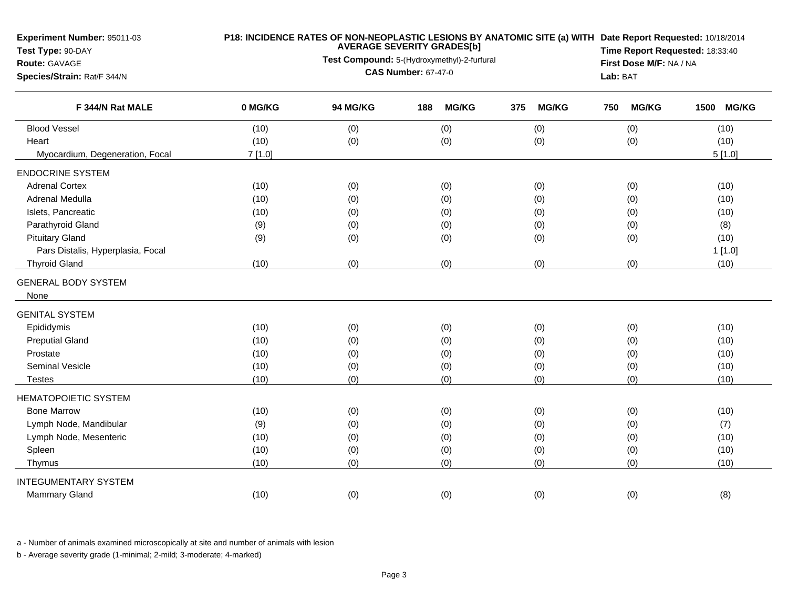| <b>Experiment Number: 95011-03</b><br>Test Type: 90-DAY<br><b>Route: GAVAGE</b><br>Species/Strain: Rat/F 344/N | P18: INCIDENCE RATES OF NON-NEOPLASTIC LESIONS BY ANATOMIC SITE (a) WITH Date Report Requested: 10/18/2014<br><b>AVERAGE SEVERITY GRADES[b]</b><br>Test Compound: 5-(Hydroxymethyl)-2-furfural<br><b>CAS Number: 67-47-0</b> |          |                     |     |              |     | Time Report Requested: 18:33:40<br>First Dose M/F: NA / NA<br>Lab: BAT |      |              |
|----------------------------------------------------------------------------------------------------------------|------------------------------------------------------------------------------------------------------------------------------------------------------------------------------------------------------------------------------|----------|---------------------|-----|--------------|-----|------------------------------------------------------------------------|------|--------------|
| F 344/N Rat MALE                                                                                               | 0 MG/KG                                                                                                                                                                                                                      | 94 MG/KG | <b>MG/KG</b><br>188 | 375 | <b>MG/KG</b> | 750 | <b>MG/KG</b>                                                           | 1500 | <b>MG/KG</b> |
| <b>Blood Vessel</b>                                                                                            | (10)                                                                                                                                                                                                                         | (0)      | (0)                 | (0) |              |     | (0)                                                                    |      | (10)         |
| Heart                                                                                                          | (10)                                                                                                                                                                                                                         | (0)      | (0)                 | (0) |              |     | (0)                                                                    |      | (10)         |
| Myocardium, Degeneration, Focal                                                                                | 7[1.0]                                                                                                                                                                                                                       |          |                     |     |              |     |                                                                        |      | 5[1.0]       |
| <b>ENDOCRINE SYSTEM</b>                                                                                        |                                                                                                                                                                                                                              |          |                     |     |              |     |                                                                        |      |              |
| <b>Adrenal Cortex</b>                                                                                          | (10)                                                                                                                                                                                                                         | (0)      | (0)                 | (0) |              |     | (0)                                                                    |      | (10)         |
| Adrenal Medulla                                                                                                | (10)                                                                                                                                                                                                                         | (0)      | (0)                 | (0) |              |     | (0)                                                                    |      | (10)         |
| Islets, Pancreatic                                                                                             | (10)                                                                                                                                                                                                                         | (0)      | (0)                 | (0) |              |     | (0)                                                                    |      | (10)         |
| Parathyroid Gland                                                                                              | (9)                                                                                                                                                                                                                          | (0)      | (0)                 | (0) |              |     | (0)                                                                    |      | (8)          |
| <b>Pituitary Gland</b>                                                                                         | (9)                                                                                                                                                                                                                          | (0)      | (0)                 | (0) |              |     | (0)                                                                    |      | (10)         |
| Pars Distalis, Hyperplasia, Focal                                                                              |                                                                                                                                                                                                                              |          |                     |     |              |     |                                                                        |      | 1[1.0]       |
| <b>Thyroid Gland</b>                                                                                           | (10)                                                                                                                                                                                                                         | (0)      | (0)                 | (0) |              |     | (0)                                                                    |      | (10)         |
| <b>GENERAL BODY SYSTEM</b>                                                                                     |                                                                                                                                                                                                                              |          |                     |     |              |     |                                                                        |      |              |
| None                                                                                                           |                                                                                                                                                                                                                              |          |                     |     |              |     |                                                                        |      |              |
| <b>GENITAL SYSTEM</b>                                                                                          |                                                                                                                                                                                                                              |          |                     |     |              |     |                                                                        |      |              |
| Epididymis                                                                                                     | (10)                                                                                                                                                                                                                         | (0)      | (0)                 | (0) |              |     | (0)                                                                    |      | (10)         |
| <b>Preputial Gland</b>                                                                                         | (10)                                                                                                                                                                                                                         | (0)      | (0)                 | (0) |              |     | (0)                                                                    |      | (10)         |
| Prostate                                                                                                       | (10)                                                                                                                                                                                                                         | (0)      | (0)                 | (0) |              |     | (0)                                                                    |      | (10)         |
| <b>Seminal Vesicle</b>                                                                                         | (10)                                                                                                                                                                                                                         | (0)      | (0)                 | (0) |              |     | (0)                                                                    |      | (10)         |
| <b>Testes</b>                                                                                                  | (10)                                                                                                                                                                                                                         | (0)      | (0)                 | (0) |              |     | (0)                                                                    |      | (10)         |
| <b>HEMATOPOIETIC SYSTEM</b>                                                                                    |                                                                                                                                                                                                                              |          |                     |     |              |     |                                                                        |      |              |
| <b>Bone Marrow</b>                                                                                             | (10)                                                                                                                                                                                                                         | (0)      | (0)                 | (0) |              |     | (0)                                                                    |      | (10)         |
| Lymph Node, Mandibular                                                                                         | (9)                                                                                                                                                                                                                          | (0)      | (0)                 | (0) |              |     | (0)                                                                    |      | (7)          |
| Lymph Node, Mesenteric                                                                                         | (10)                                                                                                                                                                                                                         | (0)      | (0)                 | (0) |              |     | (0)                                                                    |      | (10)         |
| Spleen                                                                                                         | (10)                                                                                                                                                                                                                         | (0)      | (0)                 | (0) |              |     | (0)                                                                    |      | (10)         |
| Thymus                                                                                                         | (10)                                                                                                                                                                                                                         | (0)      | (0)                 | (0) |              |     | (0)                                                                    |      | (10)         |
| <b>INTEGUMENTARY SYSTEM</b>                                                                                    |                                                                                                                                                                                                                              |          |                     |     |              |     |                                                                        |      |              |
| <b>Mammary Gland</b>                                                                                           | (10)                                                                                                                                                                                                                         | (0)      | (0)                 | (0) |              |     | (0)                                                                    |      | (8)          |
|                                                                                                                |                                                                                                                                                                                                                              |          |                     |     |              |     |                                                                        |      |              |

a - Number of animals examined microscopically at site and number of animals with lesion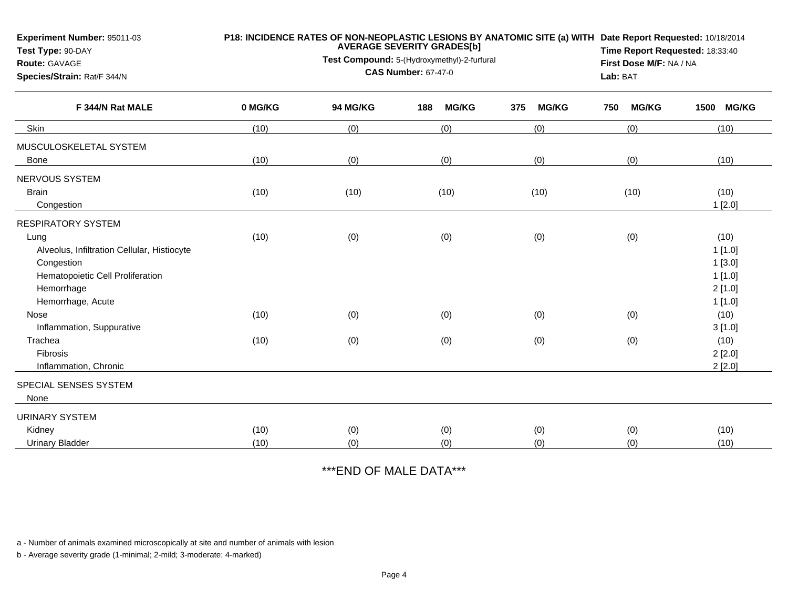| <b>Experiment Number: 95011-03</b><br>Test Type: 90-DAY<br>Route: GAVAGE<br>Species/Strain: Rat/F 344/N                                                               |              | <b>AVERAGE SEVERITY GRADES[b]</b><br>Test Compound: 5-(Hydroxymethyl)-2-furfural<br><b>CAS Number: 67-47-0</b> | Lab: BAT            | P18: INCIDENCE RATES OF NON-NEOPLASTIC LESIONS BY ANATOMIC SITE (a) WITH Date Report Requested: 10/18/2014<br>Time Report Requested: 18:33:40<br>First Dose M/F: NA / NA |                     |                                                        |
|-----------------------------------------------------------------------------------------------------------------------------------------------------------------------|--------------|----------------------------------------------------------------------------------------------------------------|---------------------|--------------------------------------------------------------------------------------------------------------------------------------------------------------------------|---------------------|--------------------------------------------------------|
| F 344/N Rat MALE                                                                                                                                                      | 0 MG/KG      | 94 MG/KG                                                                                                       | <b>MG/KG</b><br>188 | 375<br><b>MG/KG</b>                                                                                                                                                      | <b>MG/KG</b><br>750 | 1500 MG/KG                                             |
| Skin                                                                                                                                                                  | (10)         | (0)                                                                                                            | (0)                 | (0)                                                                                                                                                                      | (0)                 | (10)                                                   |
| MUSCULOSKELETAL SYSTEM<br>Bone                                                                                                                                        | (10)         | (0)                                                                                                            | (0)                 | (0)                                                                                                                                                                      | (0)                 | (10)                                                   |
| NERVOUS SYSTEM<br><b>Brain</b><br>Congestion                                                                                                                          | (10)         | (10)                                                                                                           | (10)                | (10)                                                                                                                                                                     | (10)                | (10)<br>1[2.0]                                         |
| <b>RESPIRATORY SYSTEM</b><br>Lung<br>Alveolus, Infiltration Cellular, Histiocyte<br>Congestion<br>Hematopoietic Cell Proliferation<br>Hemorrhage<br>Hemorrhage, Acute | (10)         | (0)                                                                                                            | (0)                 | (0)                                                                                                                                                                      | (0)                 | (10)<br>1[1.0]<br>1[3.0]<br>1[1.0]<br>2[1.0]<br>1[1.0] |
| Nose<br>Inflammation, Suppurative<br>Trachea<br>Fibrosis<br>Inflammation, Chronic                                                                                     | (10)<br>(10) | (0)<br>(0)                                                                                                     | (0)<br>(0)          | (0)<br>(0)                                                                                                                                                               | (0)<br>(0)          | (10)<br>3[1.0]<br>(10)<br>2[2.0]<br>2[2.0]             |
| SPECIAL SENSES SYSTEM<br>None                                                                                                                                         |              |                                                                                                                |                     |                                                                                                                                                                          |                     |                                                        |
| <b>URINARY SYSTEM</b><br>Kidney<br><b>Urinary Bladder</b>                                                                                                             | (10)<br>(10) | (0)<br>(0)                                                                                                     | (0)<br>(0)          | (0)<br>(0)                                                                                                                                                               | (0)<br>(0)          | (10)<br>(10)                                           |

\*\*\*END OF MALE DATA\*\*\*

a - Number of animals examined microscopically at site and number of animals with lesion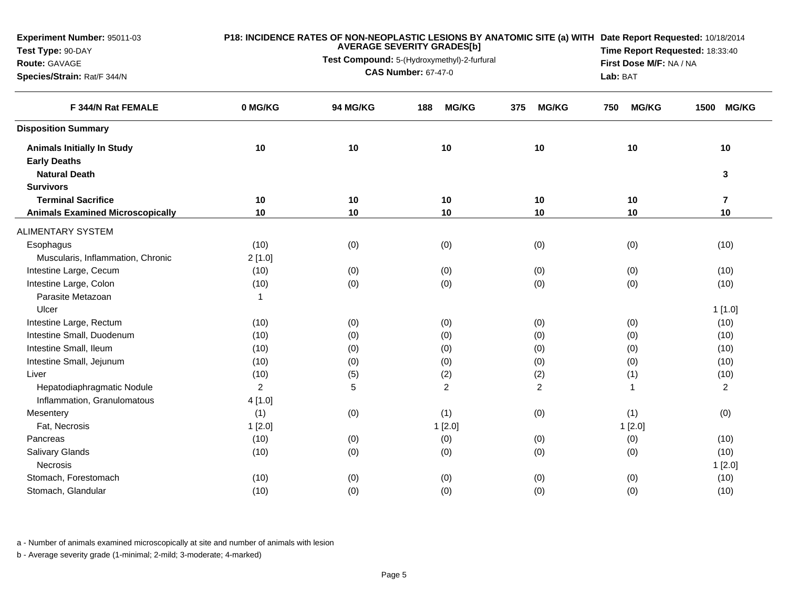**Experiment Number:** 95011-03**Test Type:** 90-DAY**Route:** GAVAGE **Species/Strain:** Rat/F 344/N**P18: INCIDENCE RATES OF NON-NEOPLASTIC LESIONS BY ANATOMIC SITE (a) WITHDate Report Requested:** 10/18/2014**AVERAGE SEVERITY GRADES[b]Test Compound:** 5-(Hydroxymethyl)-2-furfural **CAS Number:** 67-47-0**Time Report Requested:** 18:33:40**First Dose M/F:** NA / NA**Lab:** BAT**F 344/N Rat FEMALE 0 MG/KG 94 MG/KG 188 MG/KG 375 MG/KG 750 MG/KG 1500 MG/KG Disposition SummaryAnimals Initially In Study <sup>10</sup> <sup>10</sup> <sup>10</sup> <sup>10</sup> <sup>10</sup> <sup>10</sup> Early Deaths Natural Death <sup>3</sup> Survivors Terminal Sacrifice <sup>10</sup> <sup>10</sup> <sup>10</sup> <sup>10</sup> <sup>10</sup> <sup>7</sup> Animals Examined Microscopically <sup>10</sup> <sup>10</sup> <sup>10</sup> <sup>10</sup> <sup>10</sup> <sup>10</sup>** ALIMENTARY SYSTEM**Esophagus** s (10) (0) (0) (0) (0) (0) (0) (0) (0) (10) Muscularis, Inflammation, Chronic 2 [1.0] Intestine Large, Cecum (10) (0) (0) (0) (0) (10) Intestine Large, Colonn (10) (10) (0) (0) (0) (0) (0) (0) (0) (10) Parasite Metazoan $n \hspace{1.5cm} 1$ Ulcer1 [1.0] يوم المستخدم المستخدم المستخدم المستخدم المستخدم المستخدم المستخدم المستخدم المستخدم المستخدم المستخدم المستخدم المستخدم المستخدم المستخدم المستخدم المستخدم المستخدم المستخدم المستخدم المستخدم المستخدم المستخدم الم Intestine Large, Rectumm (10) (0) (0) (0) (0) (0) (0) (10) Intestine Small, Duodenumm (10) (0) (0) (0) (0) (10) (10 Intestine Small, Ileum (10) (0) (0) (0) (0) (10) Intestine Small, Jejunumm (10) (0) (0) (0) (0) (10) (10 Liver (10) (5) (2) (2) (1) (10) Hepatodiaphragmatic Nodulee 2 5 2 2 1 2 Inflammation, Granulomatous 4 [1.0] **Mesentery** y (1) (0) (1) (0) (1) (0) (1) (0) (1) (0) Fat, Necrosiss and  $1$  [2.0] 1 [2.0] 1 [2.0] 1 [2.0] 1 [2.0] 1 [2.0] Pancreass (10) (0) (0) (0) (0) (0) (0) (0) (10) Salivary Glandss (10) (10) (0) (0) (0) (0) (0) (0) (0) (10) **Necrosis** s and  $1$  [2.0]  $\,$ Stomach, Forestomachh (10) (0) (0) (0) (0) (0) (0) (0) (0) (10) Stomach, Glandular(10) (0) (0) (0) (0) (10)

a - Number of animals examined microscopically at site and number of animals with lesion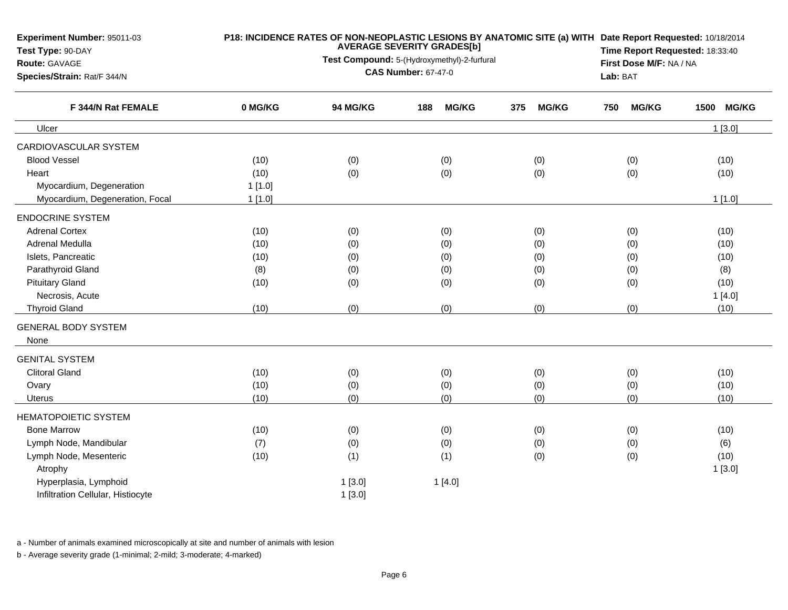| <b>Experiment Number: 95011-03</b><br>Test Type: 90-DAY<br><b>Route: GAVAGE</b><br>Species/Strain: Rat/F 344/N |         | Lab: BAT        | P18: INCIDENCE RATES OF NON-NEOPLASTIC LESIONS BY ANATOMIC SITE (a) WITH Date Report Requested: 10/18/2014<br>Time Report Requested: 18:33:40<br>First Dose M/F: NA / NA |                     |                     |                      |
|----------------------------------------------------------------------------------------------------------------|---------|-----------------|--------------------------------------------------------------------------------------------------------------------------------------------------------------------------|---------------------|---------------------|----------------------|
| F 344/N Rat FEMALE                                                                                             | 0 MG/KG | <b>94 MG/KG</b> | <b>MG/KG</b><br>188                                                                                                                                                      | <b>MG/KG</b><br>375 | <b>MG/KG</b><br>750 | <b>MG/KG</b><br>1500 |
| Ulcer                                                                                                          |         |                 |                                                                                                                                                                          |                     |                     | 1[3.0]               |
| CARDIOVASCULAR SYSTEM                                                                                          |         |                 |                                                                                                                                                                          |                     |                     |                      |
| <b>Blood Vessel</b>                                                                                            | (10)    | (0)             | (0)                                                                                                                                                                      | (0)                 | (0)                 | (10)                 |
| Heart                                                                                                          | (10)    | (0)             | (0)                                                                                                                                                                      | (0)                 | (0)                 | (10)                 |
| Myocardium, Degeneration                                                                                       | 1[1.0]  |                 |                                                                                                                                                                          |                     |                     |                      |
| Myocardium, Degeneration, Focal                                                                                | 1[1.0]  |                 |                                                                                                                                                                          |                     |                     | 1[1.0]               |
| <b>ENDOCRINE SYSTEM</b>                                                                                        |         |                 |                                                                                                                                                                          |                     |                     |                      |
| <b>Adrenal Cortex</b>                                                                                          | (10)    | (0)             | (0)                                                                                                                                                                      | (0)                 | (0)                 | (10)                 |
| Adrenal Medulla                                                                                                | (10)    | (0)             | (0)                                                                                                                                                                      | (0)                 | (0)                 | (10)                 |
| Islets, Pancreatic                                                                                             | (10)    | (0)             | (0)                                                                                                                                                                      | (0)                 | (0)                 | (10)                 |
| Parathyroid Gland                                                                                              | (8)     | (0)             | (0)                                                                                                                                                                      | (0)                 | (0)                 | (8)                  |
| <b>Pituitary Gland</b>                                                                                         | (10)    | (0)             | (0)                                                                                                                                                                      | (0)                 | (0)                 | (10)                 |
| Necrosis, Acute                                                                                                |         |                 |                                                                                                                                                                          |                     |                     | 1[4.0]               |
| <b>Thyroid Gland</b>                                                                                           | (10)    | (0)             | (0)                                                                                                                                                                      | (0)                 | (0)                 | (10)                 |
| <b>GENERAL BODY SYSTEM</b><br>None                                                                             |         |                 |                                                                                                                                                                          |                     |                     |                      |
| <b>GENITAL SYSTEM</b>                                                                                          |         |                 |                                                                                                                                                                          |                     |                     |                      |
| <b>Clitoral Gland</b>                                                                                          | (10)    | (0)             | (0)                                                                                                                                                                      | (0)                 | (0)                 | (10)                 |
| Ovary                                                                                                          | (10)    | (0)             | (0)                                                                                                                                                                      | (0)                 | (0)                 | (10)                 |
| <b>Uterus</b>                                                                                                  | (10)    | (0)             | (0)                                                                                                                                                                      | (0)                 | (0)                 | (10)                 |
| <b>HEMATOPOIETIC SYSTEM</b>                                                                                    |         |                 |                                                                                                                                                                          |                     |                     |                      |
| <b>Bone Marrow</b>                                                                                             | (10)    | (0)             | (0)                                                                                                                                                                      | (0)                 | (0)                 | (10)                 |
| Lymph Node, Mandibular                                                                                         | (7)     | (0)             | (0)                                                                                                                                                                      | (0)                 | (0)                 | (6)                  |
| Lymph Node, Mesenteric                                                                                         | (10)    | (1)             | (1)                                                                                                                                                                      | (0)                 | (0)                 | (10)                 |
| Atrophy                                                                                                        |         |                 |                                                                                                                                                                          |                     |                     | 1[3.0]               |
| Hyperplasia, Lymphoid                                                                                          |         | 1[3.0]          | 1[4.0]                                                                                                                                                                   |                     |                     |                      |
| Infiltration Cellular, Histiocyte                                                                              |         | 1[3.0]          |                                                                                                                                                                          |                     |                     |                      |

a - Number of animals examined microscopically at site and number of animals with lesion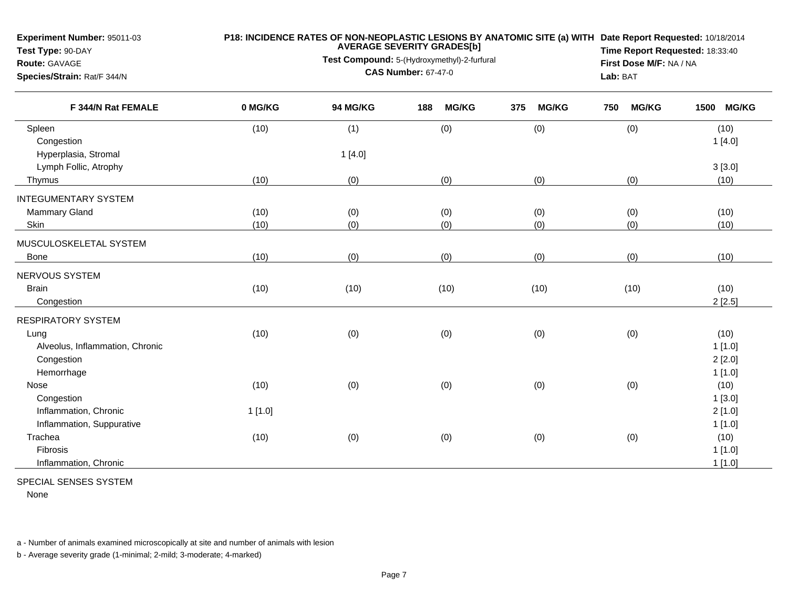**Experiment Number:** 95011-03

## **P18: INCIDENCE RATES OF NON-NEOPLASTIC LESIONS BY ANATOMIC SITE (a) WITH AVERAGE SEVERITY GRADES[b] Date Report Requested:** 10/18/2014

**Test Type:** 90-DAY**Route:** GAVAGE

**Test Compound:** 5-(Hydroxymethyl)-2-furfural **CAS Number:** 67-47-0

**Time Report Requested:** 18:33:40**First Dose M/F:** NA / NA**Lab:** BAT

| Species/Strain: Rat/F 344/N |  |
|-----------------------------|--|
|-----------------------------|--|

| 0 MG/KG | 94 MG/KG                                       | <b>MG/KG</b><br>188       | <b>MG/KG</b><br>375       | <b>MG/KG</b><br>750       | <b>MG/KG</b><br>1500      |
|---------|------------------------------------------------|---------------------------|---------------------------|---------------------------|---------------------------|
| (10)    | (1)                                            | (0)                       | (0)                       | (0)                       | (10)                      |
|         |                                                |                           |                           |                           | 1[4.0]                    |
|         | 1[4.0]                                         |                           |                           |                           |                           |
|         |                                                |                           |                           |                           | 3[3.0]                    |
| (10)    | (0)                                            | (0)                       | (0)                       | (0)                       | (10)                      |
|         |                                                |                           |                           |                           |                           |
| (10)    | (0)                                            | (0)                       | (0)                       | (0)                       | (10)                      |
| (10)    | (0)                                            | (0)                       | (0)                       | (0)                       | (10)                      |
|         |                                                |                           |                           |                           |                           |
|         | (0)                                            | (0)                       | (0)                       | (0)                       | (10)                      |
|         |                                                |                           |                           |                           |                           |
|         |                                                |                           |                           |                           | (10)                      |
|         |                                                |                           |                           |                           | 2[2.5]                    |
|         |                                                |                           |                           |                           |                           |
|         |                                                |                           |                           |                           | (10)                      |
|         |                                                |                           |                           |                           | 1[1.0]                    |
|         |                                                |                           |                           |                           | 2[2.0]                    |
|         |                                                |                           |                           |                           | 1[1.0]                    |
|         |                                                |                           |                           |                           | (10)                      |
|         |                                                |                           |                           |                           | 1[3.0]                    |
|         |                                                |                           |                           |                           | 2[1.0]                    |
|         |                                                |                           |                           |                           | 1[1.0]                    |
|         |                                                |                           |                           |                           | (10)                      |
|         |                                                |                           |                           |                           | 1[1.0]                    |
|         |                                                |                           |                           |                           | 1[1.0]                    |
|         | (10)<br>(10)<br>(10)<br>(10)<br>1[1.0]<br>(10) | (10)<br>(0)<br>(0)<br>(0) | (10)<br>(0)<br>(0)<br>(0) | (10)<br>(0)<br>(0)<br>(0) | (10)<br>(0)<br>(0)<br>(0) |

## SPECIAL SENSES SYSTEM

None

a - Number of animals examined microscopically at site and number of animals with lesion